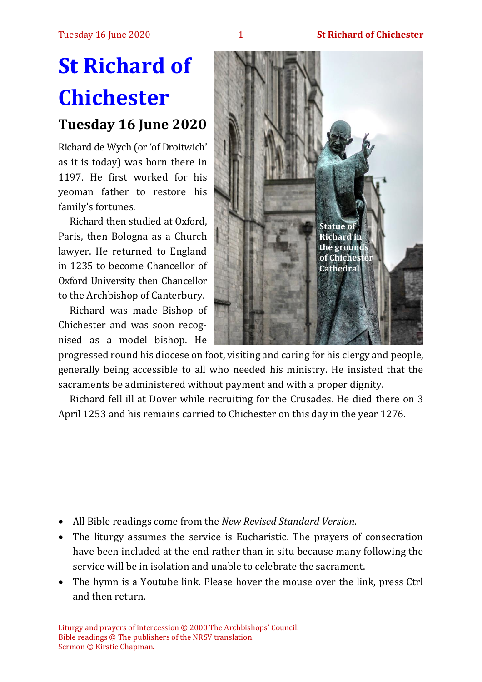# **St Richard of Chichester**

## **Tuesday 16 June 2020**

Richard de Wych (or 'of Droitwich' as it is today) was born there in 1197. He first worked for his yeoman father to restore his family's fortunes.

Richard then studied at Oxford, Paris, then Bologna as a Church lawyer. He returned to England in 1235 to become Chancellor of Oxford University then Chancellor to the Archbishop of Canterbury.

Richard was made Bishop of Chichester and was soon recognised as a model bishop. He



progressed round his diocese on foot, visiting and caring for his clergy and people, generally being accessible to all who needed his ministry. He insisted that the sacraments be administered without payment and with a proper dignity.

Richard fell ill at Dover while recruiting for the Crusades. He died there on 3 April 1253 and his remains carried to Chichester on this day in the year 1276.

- All Bible readings come from the *New Revised Standard Version*.
- The liturgy assumes the service is Eucharistic. The prayers of consecration have been included at the end rather than in situ because many following the service will be in isolation and unable to celebrate the sacrament.
- The hymn is a Youtube link. Please hover the mouse over the link, press Ctrl and then return.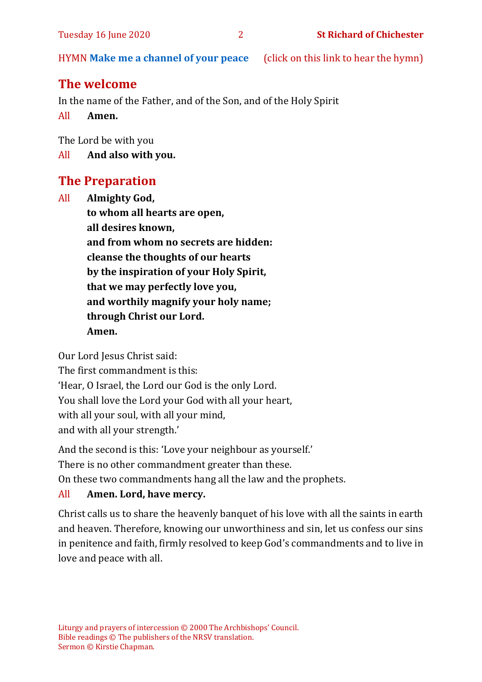HYMN **[Make me a channel of your peace](https://www.youtube.com/watch?v=gUI2EyYIEKs)** (click on this link to hear the hymn)

## **The welcome**

In the name of the Father, and of the Son, and of the Holy Spirit

All **Amen.**

The Lord be with you

All **And also with you.**

### **The Preparation**

All **Almighty God, to whom all hearts are open, all desires known, and from whom no secrets are hidden: cleanse the thoughts of our hearts by the inspiration of your Holy Spirit, that we may perfectly love you, and worthily magnify your holy name; through Christ our Lord. Amen.**

Our Lord Jesus Christ said:

The first commandment is this: 'Hear, O Israel, the Lord our God is the only Lord. You shall love the Lord your God with all your heart, with all your soul, with all your mind, and with all your strength.'

And the second is this: 'Love your neighbour as yourself.'

There is no other commandment greater than these.

On these two commandments hang all the law and the prophets.

#### All **Amen. Lord, have mercy.**

Christ calls us to share the heavenly banquet of his love with all the saints in earth and heaven. Therefore, knowing our unworthiness and sin, let us confess our sins in penitence and faith, firmly resolved to keep God's commandments and to live in love and peace with all.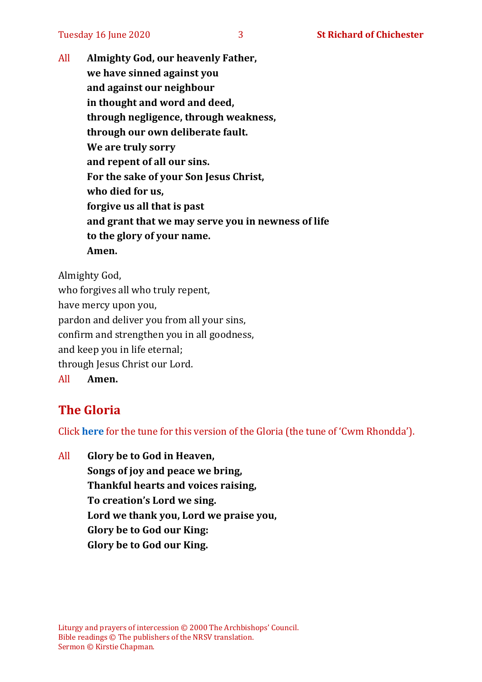All **Almighty God, our heavenly Father, we have sinned against you and against our neighbour in thought and word and deed, through negligence, through weakness, through our own deliberate fault. We are truly sorry and repent of all our sins. For the sake of your Son Jesus Christ, who died for us, forgive us all that is past and grant that we may serve you in newness of life to the glory of your name. Amen.**

Almighty God,

who forgives all who truly repent, have mercy upon you, pardon and deliver you from all your sins, confirm and strengthen you in all goodness, and keep you in life eternal; through Jesus Christ our Lord. All **Amen.**

## **The Gloria**

Click **[here](https://www.youtube.com/watch?v=BtGhnEwY74E)** for the tune for this version of the Gloria (the tune of 'Cwm Rhondda').

All **Glory be to God in Heaven, Songs of joy and peace we bring, Thankful hearts and voices raising, To creation's Lord we sing. Lord we thank you, Lord we praise you, Glory be to God our King: Glory be to God our King.**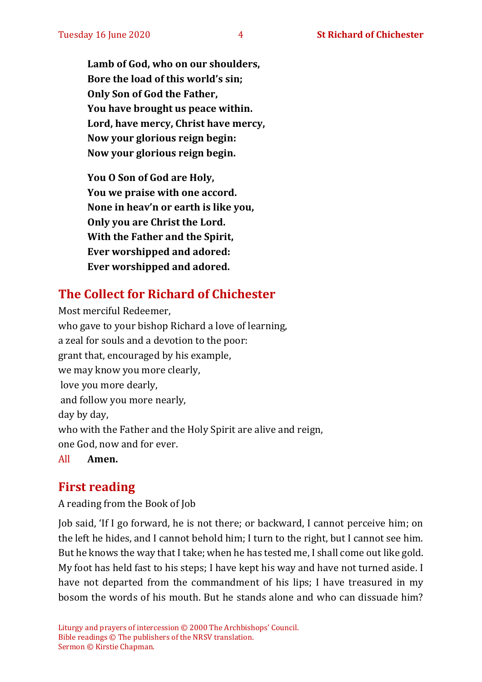**Lamb of God, who on our shoulders, Bore the load of this world's sin; Only Son of God the Father, You have brought us peace within. Lord, have mercy, Christ have mercy, Now your glorious reign begin: Now your glorious reign begin.**

**You O Son of God are Holy, You we praise with one accord. None in heav'n or earth is like you, Only you are Christ the Lord. With the Father and the Spirit, Ever worshipped and adored: Ever worshipped and adored.**

## **The Collect for Richard of Chichester**

Most merciful Redeemer, who gave to your bishop Richard a love of learning, a zeal for souls and a devotion to the poor: grant that, encouraged by his example, we may know you more clearly, love you more dearly, and follow you more nearly, day by day, who with the Father and the Holy Spirit are alive and reign, one God, now and for ever.

All **Amen.**

#### **First reading**

A reading from the Book of Job

Job said, 'If I go forward, he is not there; or backward, I cannot perceive him; on the left he hides, and I cannot behold him; I turn to the right, but I cannot see him. But he knows the way that I take; when he has tested me, I shall come out like gold. My foot has held fast to his steps; I have kept his way and have not turned aside. I have not departed from the commandment of his lips; I have treasured in my bosom the words of his mouth. But he stands alone and who can dissuade him?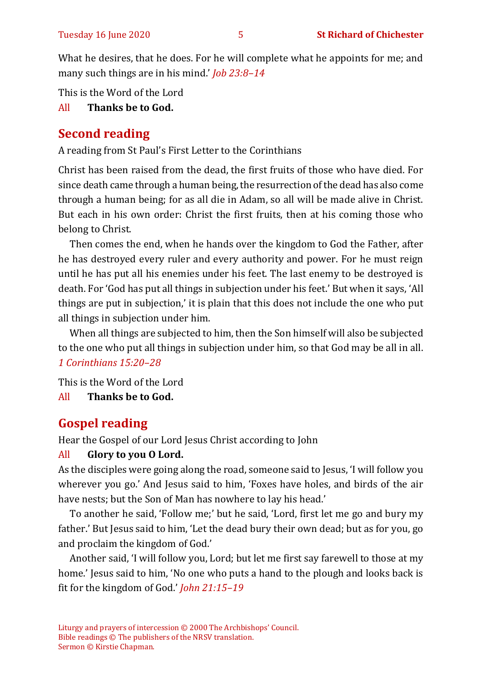What he desires, that he does. For he will complete what he appoints for me; and many such things are in his mind.' *Job 23:8–14*

This is the Word of the Lord

#### All **Thanks be to God.**

## **Second reading**

A reading from St Paul's First Letter to the Corinthians

Christ has been raised from the dead, the first fruits of those who have died. For since death came through a human being, the resurrection of the dead has also come through a human being; for as all die in Adam, so all will be made alive in Christ. But each in his own order: Christ the first fruits, then at his coming those who belong to Christ.

Then comes the end, when he hands over the kingdom to God the Father, after he has destroyed every ruler and every authority and power. For he must reign until he has put all his enemies under his feet. The last enemy to be destroyed is death. For 'God has put all things in subjection under his feet.' But when it says, 'All things are put in subjection,' it is plain that this does not include the one who put all things in subjection under him.

When all things are subjected to him, then the Son himself will also be subjected to the one who put all things in subjection under him, so that God may be all in all. *1 Corinthians 15:20–28*

This is the Word of the Lord All **Thanks be to God.**

## **Gospel reading**

Hear the Gospel of our Lord Jesus Christ according to John

#### All **Glory to you O Lord.**

As the disciples were going along the road, someone said to Jesus, 'I will follow you wherever you go.' And Jesus said to him, 'Foxes have holes, and birds of the air have nests; but the Son of Man has nowhere to lay his head.'

To another he said, 'Follow me;' but he said, 'Lord, first let me go and bury my father.' But Jesus said to him, 'Let the dead bury their own dead; but as for you, go and proclaim the kingdom of God.'

Another said, 'I will follow you, Lord; but let me first say farewell to those at my home.' Jesus said to him, 'No one who puts a hand to the plough and looks back is fit for the kingdom of God.' *John 21:15–19*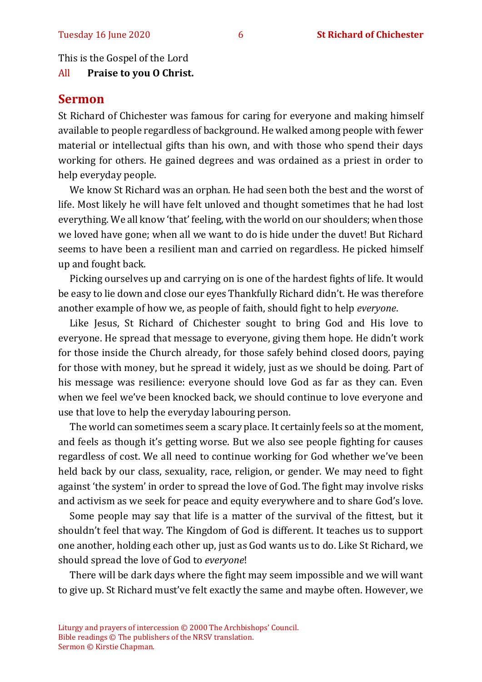This is the Gospel of the Lord

All **Praise to you O Christ.** 

#### **Sermon**

St Richard of Chichester was famous for caring for everyone and making himself available to people regardless of background. He walked among people with fewer material or intellectual gifts than his own, and with those who spend their days working for others. He gained degrees and was ordained as a priest in order to help everyday people.

We know St Richard was an orphan. He had seen both the best and the worst of life. Most likely he will have felt unloved and thought sometimes that he had lost everything. We all know 'that' feeling, with the world on our shoulders; when those we loved have gone; when all we want to do is hide under the duvet! But Richard seems to have been a resilient man and carried on regardless. He picked himself up and fought back.

Picking ourselves up and carrying on is one of the hardest fights of life. It would be easy to lie down and close our eyes Thankfully Richard didn't. He was therefore another example of how we, as people of faith, should fight to help *everyone*.

Like Jesus, St Richard of Chichester sought to bring God and His love to everyone. He spread that message to everyone, giving them hope. He didn't work for those inside the Church already, for those safely behind closed doors, paying for those with money, but he spread it widely, just as we should be doing. Part of his message was resilience: everyone should love God as far as they can. Even when we feel we've been knocked back, we should continue to love everyone and use that love to help the everyday labouring person.

The world can sometimes seem a scary place. It certainly feels so at the moment, and feels as though it's getting worse. But we also see people fighting for causes regardless of cost. We all need to continue working for God whether we've been held back by our class, sexuality, race, religion, or gender. We may need to fight against 'the system' in order to spread the love of God. The fight may involve risks and activism as we seek for peace and equity everywhere and to share God's love.

Some people may say that life is a matter of the survival of the fittest, but it shouldn't feel that way. The Kingdom of God is different. It teaches us to support one another, holding each other up, just as God wants us to do. Like St Richard, we should spread the love of God to *everyone*!

There will be dark days where the fight may seem impossible and we will want to give up. St Richard must've felt exactly the same and maybe often. However, we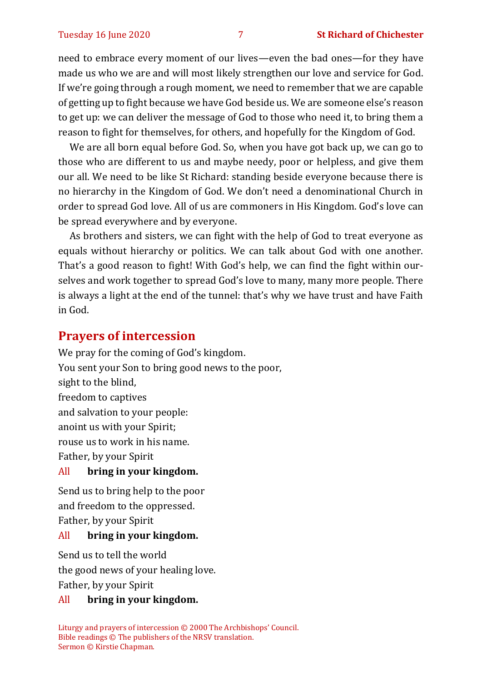need to embrace every moment of our lives—even the bad ones—for they have made us who we are and will most likely strengthen our love and service for God. If we're going through a rough moment, we need to remember that we are capable of getting up to fight because we have God beside us. We are someone else's reason to get up: we can deliver the message of God to those who need it, to bring them a reason to fight for themselves, for others, and hopefully for the Kingdom of God.

We are all born equal before God. So, when you have got back up, we can go to those who are different to us and maybe needy, poor or helpless, and give them our all. We need to be like St Richard: standing beside everyone because there is no hierarchy in the Kingdom of God. We don't need a denominational Church in order to spread God love. All of us are commoners in His Kingdom. God's love can be spread everywhere and by everyone.

As brothers and sisters, we can fight with the help of God to treat everyone as equals without hierarchy or politics. We can talk about God with one another. That's a good reason to fight! With God's help, we can find the fight within ourselves and work together to spread God's love to many, many more people. There is always a light at the end of the tunnel: that's why we have trust and have Faith in God.

#### **Prayers of intercession**

We pray for the coming of God's kingdom. You sent your Son to bring good news to the poor, sight to the blind, freedom to captives and salvation to your people: anoint us with your Spirit; rouse us to work in his name. Father, by your Spirit

#### All **bring in your kingdom.**

Send us to bring help to the poor and freedom to the oppressed. Father, by your Spirit

#### All **bring in your kingdom.**

Send us to tell the world the good news of your healing love. Father, by your Spirit

#### All **bring in your kingdom.**

Liturgy and prayers of intercession © 2000 The Archbishops' Council. Bible readings © The publishers of the NRSV translation. Sermon © Kirstie Chapman.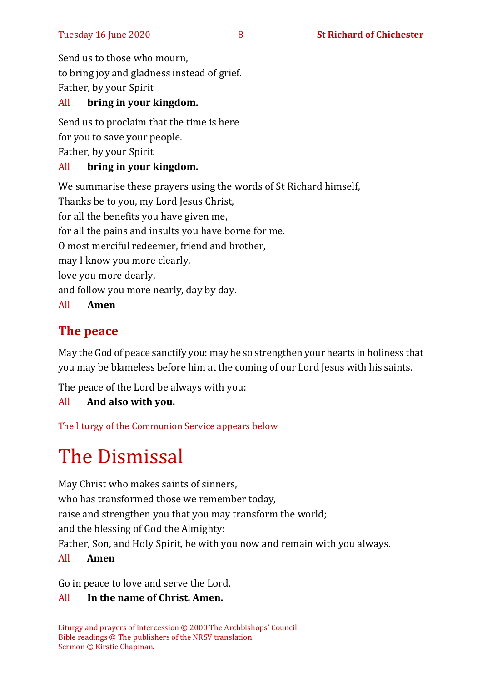Send us to those who mourn, to bring joy and gladness instead of grief. Father, by your Spirit

#### All **bring in your kingdom.**

Send us to proclaim that the time is here for you to save your people. Father, by your Spirit

#### All **bring in your kingdom.**

We summarise these prayers using the words of St Richard himself, Thanks be to you, my Lord Jesus Christ,

for all the benefits you have given me,

for all the pains and insults you have borne for me.

O most merciful redeemer, friend and brother,

may I know you more clearly,

love you more dearly,

and follow you more nearly, day by day.

All **Amen** 

## **The peace**

May the God of peace sanctify you: may he so strengthen your hearts in holiness that you may be blameless before him at the coming of our Lord Jesus with his saints.

The peace of the Lord be always with you:

#### All **And also with you.**

The liturgy of the Communion Service appears below

## The Dismissal

May Christ who makes saints of sinners, who has transformed those we remember today, raise and strengthen you that you may transform the world; and the blessing of God the Almighty: Father, Son, and Holy Spirit, be with you now and remain with you always. All **Amen**

Go in peace to love and serve the Lord.

#### All **In the name of Christ. Amen.**

Liturgy and prayers of intercession © 2000 The Archbishops' Council. Bible readings © The publishers of the NRSV translation. Sermon © Kirstie Chapman.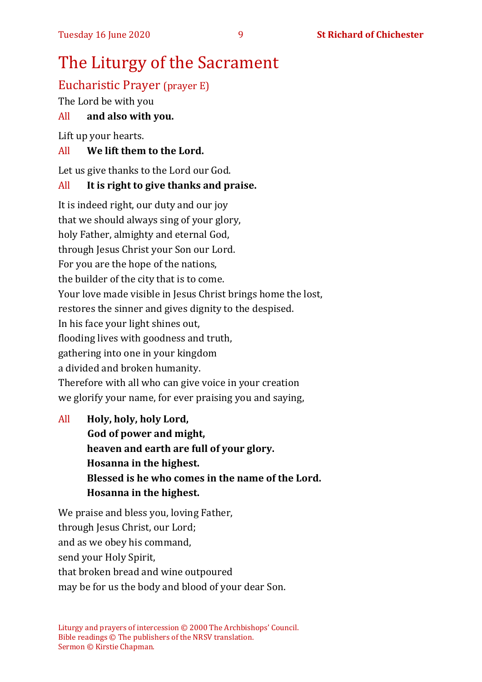## The Liturgy of the Sacrament

## Eucharistic Prayer (prayer E)

The Lord be with you

#### All **and also with you.**

Lift up your hearts.

#### All **We lift them to the Lord.**

Let us give thanks to the Lord our God.

#### All **It is right to give thanks and praise.**

It is indeed right, our duty and our joy that we should always sing of your glory, holy Father, almighty and eternal God, through Jesus Christ your Son our Lord. For you are the hope of the nations, the builder of the city that is to come. Your love made visible in Jesus Christ brings home the lost, restores the sinner and gives dignity to the despised. In his face your light shines out, flooding lives with goodness and truth, gathering into one in your kingdom a divided and broken humanity. Therefore with all who can give voice in your creation we glorify your name, for ever praising you and saying,

All **Holy, holy, holy Lord, God of power and might, heaven and earth are full of your glory. Hosanna in the highest. Blessed is he who comes in the name of the Lord. Hosanna in the highest.**

We praise and bless you, loving Father, through Jesus Christ, our Lord; and as we obey his command, send your Holy Spirit, that broken bread and wine outpoured may be for us the body and blood of your dear Son.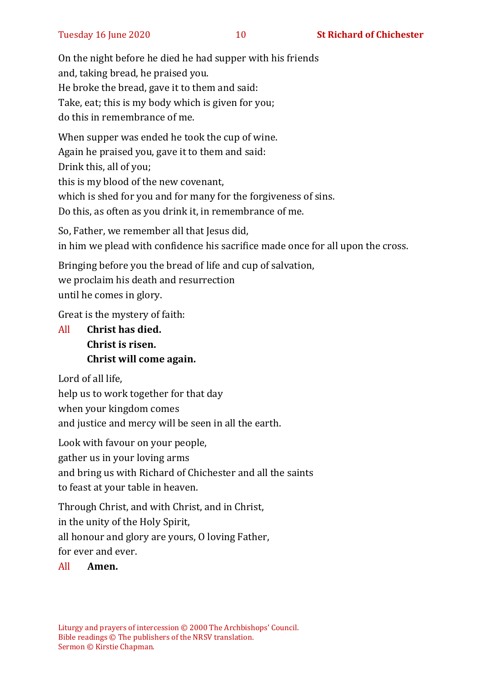On the night before he died he had supper with his friends and, taking bread, he praised you. He broke the bread, gave it to them and said: Take, eat; this is my body which is given for you; do this in remembrance of me.

When supper was ended he took the cup of wine. Again he praised you, gave it to them and said: Drink this, all of you; this is my blood of the new covenant, which is shed for you and for many for the forgiveness of sins. Do this, as often as you drink it, in remembrance of me.

So, Father, we remember all that Jesus did, in him we plead with confidence his sacrifice made once for all upon the cross.

Bringing before you the bread of life and cup of salvation, we proclaim his death and resurrection until he comes in glory.

Great is the mystery of faith:

All **Christ has died. Christ is risen. Christ will come again.**

Lord of all life,

help us to work together for that day when your kingdom comes

and justice and mercy will be seen in all the earth.

Look with favour on your people,

gather us in your loving arms

and bring us with Richard of Chichester and all the saints

to feast at your table in heaven.

Through Christ, and with Christ, and in Christ,

in the unity of the Holy Spirit,

all honour and glory are yours, O loving Father,

for ever and ever.

#### All **Amen.**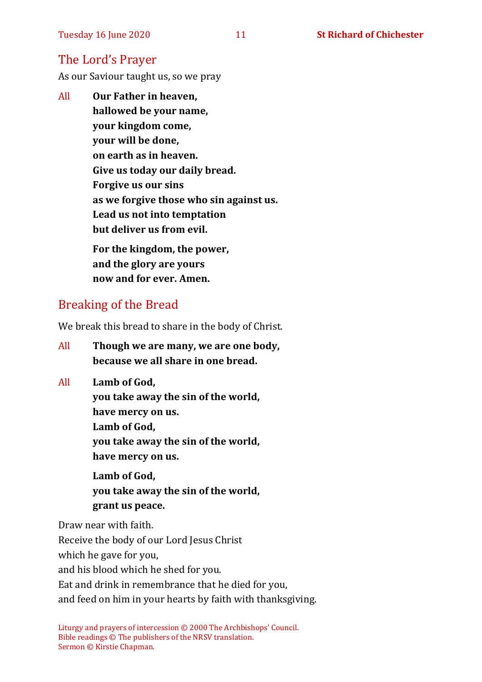## The Lord's Prayer

As our Saviour taught us, so we pray

All **Our Father in heaven, hallowed be your name, your kingdom come, your will be done, on earth as in heaven. Give us today our daily bread. Forgive us our sins as we forgive those who sin against us. Lead us not into temptation but deliver us from evil. For the kingdom, the power,** 

**and the glory are yours now and for ever. Amen.**

## Breaking of the Bread

We break this bread to share in the body of Christ.

- All **Though we are many, we are one body, because we all share in one bread.**
- All **Lamb of God,**
	- **you take away the sin of the world,**
	- **have mercy on us.**
	- **Lamb of God,**
	- **you take away the sin of the world, have mercy on us.**

**Lamb of God, you take away the sin of the world, grant us peace.**

Draw near with faith.

Receive the body of our Lord Jesus Christ

which he gave for you,

and his blood which he shed for you.

Eat and drink in remembrance that he died for you,

and feed on him in your hearts by faith with thanksgiving.